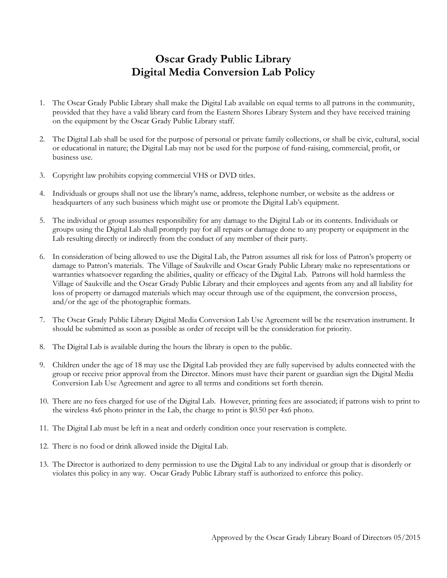## **Oscar Grady Public Library Digital Media Conversion Lab Policy**

- 1. The Oscar Grady Public Library shall make the Digital Lab available on equal terms to all patrons in the community, provided that they have a valid library card from the Eastern Shores Library System and they have received training on the equipment by the Oscar Grady Public Library staff.
- 2. The Digital Lab shall be used for the purpose of personal or private family collections, or shall be civic, cultural, social or educational in nature; the Digital Lab may not be used for the purpose of fund-raising, commercial, profit, or business use.
- 3. Copyright law prohibits copying commercial VHS or DVD titles.
- 4. Individuals or groups shall not use the library's name, address, telephone number, or website as the address or headquarters of any such business which might use or promote the Digital Lab's equipment.
- 5. The individual or group assumes responsibility for any damage to the Digital Lab or its contents. Individuals or groups using the Digital Lab shall promptly pay for all repairs or damage done to any property or equipment in the Lab resulting directly or indirectly from the conduct of any member of their party.
- 6. In consideration of being allowed to use the Digital Lab, the Patron assumes all risk for loss of Patron's property or damage to Patron's materials. The Village of Saukville and Oscar Grady Public Library make no representations or warranties whatsoever regarding the abilities, quality or efficacy of the Digital Lab. Patrons will hold harmless the Village of Saukville and the Oscar Grady Public Library and their employees and agents from any and all liability for loss of property or damaged materials which may occur through use of the equipment, the conversion process, and/or the age of the photographic formats.
- 7. The Oscar Grady Public Library Digital Media Conversion Lab Use Agreement will be the reservation instrument. It should be submitted as soon as possible as order of receipt will be the consideration for priority.
- 8. The Digital Lab is available during the hours the library is open to the public.
- 9. Children under the age of 18 may use the Digital Lab provided they are fully supervised by adults connected with the group or receive prior approval from the Director. Minors must have their parent or guardian sign the Digital Media Conversion Lab Use Agreement and agree to all terms and conditions set forth therein.
- 10. There are no fees charged for use of the Digital Lab. However, printing fees are associated; if patrons wish to print to the wireless 4x6 photo printer in the Lab, the charge to print is \$0.50 per 4x6 photo.
- 11. The Digital Lab must be left in a neat and orderly condition once your reservation is complete.
- 12. There is no food or drink allowed inside the Digital Lab.
- 13. The Director is authorized to deny permission to use the Digital Lab to any individual or group that is disorderly or violates this policy in any way. Oscar Grady Public Library staff is authorized to enforce this policy.